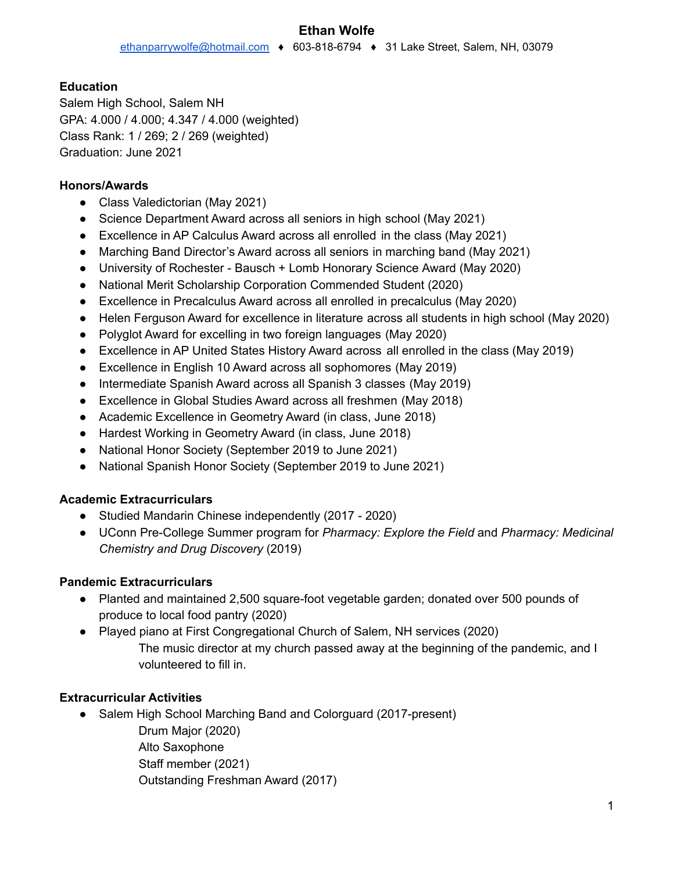#### **Education**

Salem High School, Salem NH GPA: 4.000 / 4.000; 4.347 / 4.000 (weighted) Class Rank: 1 / 269; 2 / 269 (weighted) Graduation: June 2021

#### **Honors/Awards**

- Class Valedictorian (May 2021)
- Science Department Award across all seniors in high school (May 2021)
- Excellence in AP Calculus Award across all enrolled in the class (May 2021)
- Marching Band Director's Award across all seniors in marching band (May 2021)
- University of Rochester Bausch + Lomb Honorary Science Award (May 2020)
- National Merit Scholarship Corporation Commended Student (2020)
- Excellence in Precalculus Award across all enrolled in precalculus (May 2020)
- Helen Ferguson Award for excellence in literature across all students in high school (May 2020)
- Polyglot Award for excelling in two foreign languages (May 2020)
- Excellence in AP United States History Award across all enrolled in the class (May 2019)
- Excellence in English 10 Award across all sophomores (May 2019)
- Intermediate Spanish Award across all Spanish 3 classes (May 2019)
- Excellence in Global Studies Award across all freshmen (May 2018)
- Academic Excellence in Geometry Award (in class, June 2018)
- Hardest Working in Geometry Award (in class, June 2018)
- National Honor Society (September 2019 to June 2021)
- National Spanish Honor Society (September 2019 to June 2021)

#### **Academic Extracurriculars**

- Studied Mandarin Chinese independently (2017 2020)
- UConn Pre-College Summer program for *Pharmacy: Explore the Field* and *Pharmacy: Medicinal Chemistry and Drug Discovery* (2019)

#### **Pandemic Extracurriculars**

- Planted and maintained 2,500 square-foot vegetable garden; donated over 500 pounds of produce to local food pantry (2020)
- Played piano at First Congregational Church of Salem, NH services (2020)
	- The music director at my church passed away at the beginning of the pandemic, and I volunteered to fill in.

### **Extracurricular Activities**

- Salem High School Marching Band and Colorguard (2017-present)
	- Drum Major (2020) Alto Saxophone Staff member (2021) Outstanding Freshman Award (2017)